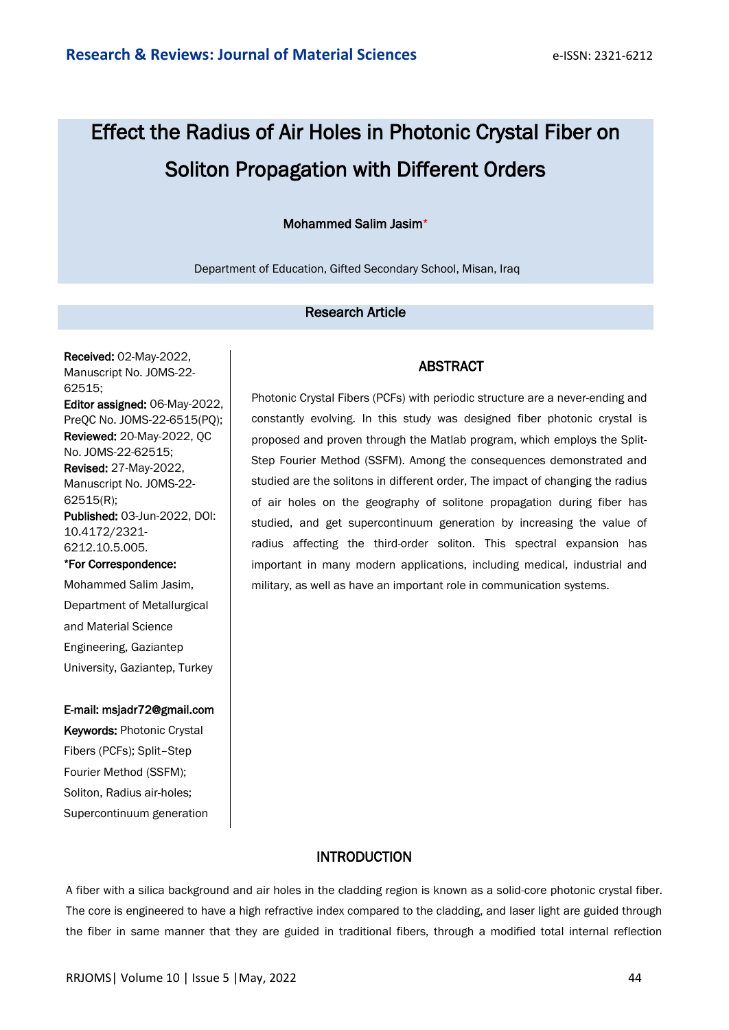# Effect the Radius of Air Holes in Photonic Crystal Fiber on Soliton Propagation with Different Orders

## Mohammed Salim Jasim\*

Department of Education, Gifted Secondary School, Misan, Iraq

# Research Article

Received: 02-May-2022, Manuscript No. JOMS-22- 62515; Editor assigned: 06-May-2022, PreQC No. JOMS-22-6515(PQ); Reviewed: 20-May-2022, QC No. JOMS-22-62515; Revised: 27-May-2022, Manuscript No. JOMS-22- 62515(R); Published: 03-Jun-2022, DOI: 10.4172/2321- 6212.10.5.005. \*For Correspondence:

Mohammed Salim Jasim, Department of Metallurgical and Material Science Engineering, Gaziantep University, Gaziantep, Turkey

#### E-mail: msjadr72@gmail.com

Keywords: Photonic Crystal Fibers (PCFs); Split–Step Fourier Method (SSFM); Soliton, Radius air-holes; Supercontinuum generation

#### ABSTRACT

Photonic Crystal Fibers (PCFs) with periodic structure are a never-ending and constantly evolving. In this study was designed fiber photonic crystal is proposed and proven through the Matlab program, which employs the Split-Step Fourier Method (SSFM). Among the consequences demonstrated and studied are the solitons in different order, The impact of changing the radius of air holes on the geography of solitone propagation during fiber has studied, and get supercontinuum generation by increasing the value of radius affecting the third-order soliton. This spectral expansion has important in many modern applications, including medical, industrial and military, as well as have an important role in communication systems.

## **INTRODUCTION**

A fiber with a silica background and air holes in the cladding region is known as a solid-core photonic crystal fiber. The core is engineered to have a high refractive index compared to the cladding, and laser light are guided through the fiber in same manner that they are guided in traditional fibers, through a modified total internal reflection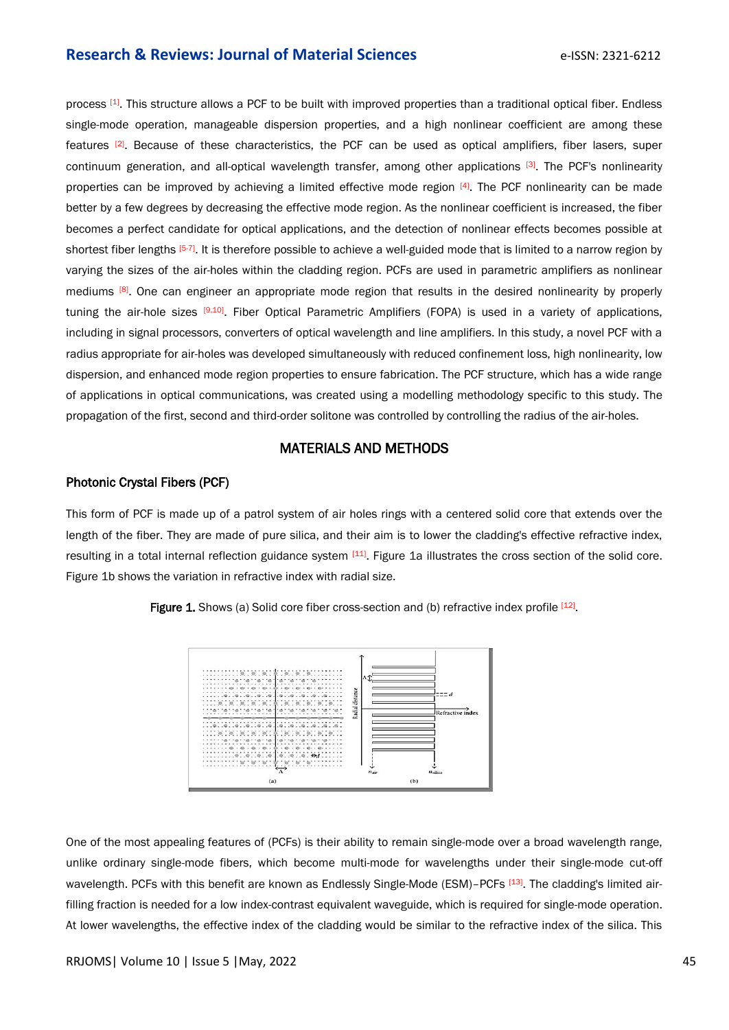process [1]. This structure allows a PCF to be built with improved properties than a traditional optical fiber. Endless single-mode operation, manageable dispersion properties, and a high nonlinear coefficient are among these features <sup>[2]</sup>. Because of these characteristics, the PCF can be used as optical amplifiers, fiber lasers, super continuum generation, and all-optical wavelength transfer, among other applications [3]. The PCF's nonlinearity properties can be improved by achieving a limited effective mode region [4]. The PCF nonlinearity can be made better by a few degrees by decreasing the effective mode region. As the nonlinear coefficient is increased, the fiber becomes a perfect candidate for optical applications, and the detection of nonlinear effects becomes possible at shortest fiber lengths <sup>[5-7]</sup>. It is therefore possible to achieve a well-guided mode that is limited to a narrow region by varying the sizes of the air-holes within the cladding region. PCFs are used in parametric amplifiers as nonlinear mediums <sup>[8]</sup>. One can engineer an appropriate mode region that results in the desired nonlinearity by properly tuning the air-hole sizes <sup>[9,10]</sup>. Fiber Optical Parametric Amplifiers (FOPA) is used in a variety of applications, including in signal processors, converters of optical wavelength and line amplifiers. In this study, a novel PCF with a radius appropriate for air-holes was developed simultaneously with reduced confinement loss, high nonlinearity, low dispersion, and enhanced mode region properties to ensure fabrication. The PCF structure, which has a wide range of applications in optical communications, was created using a modelling methodology specific to this study. The propagation of the first, second and third-order solitone was controlled by controlling the radius of the air-holes.

# MATERIALS AND METHODS

#### Photonic Crystal Fibers (PCF)

This form of PCF is made up of a patrol system of air holes rings with a centered solid core that extends over the length of the fiber. They are made of pure silica, and their aim is to lower the cladding's effective refractive index, resulting in a total internal reflection guidance system [11]. Figure 1a illustrates the cross section of the solid core. Figure 1b shows the variation in refractive index with radial size.





One of the most appealing features of (PCFs) is their ability to remain single-mode over a broad wavelength range, unlike ordinary single-mode fibers, which become multi-mode for wavelengths under their single-mode cut-off wavelength. PCFs with this benefit are known as Endlessly Single-Mode (ESM)-PCFs [13]. The cladding's limited airfilling fraction is needed for a low index-contrast equivalent waveguide, which is required for single-mode operation. At lower wavelengths, the effective index of the cladding would be similar to the refractive index of the silica. This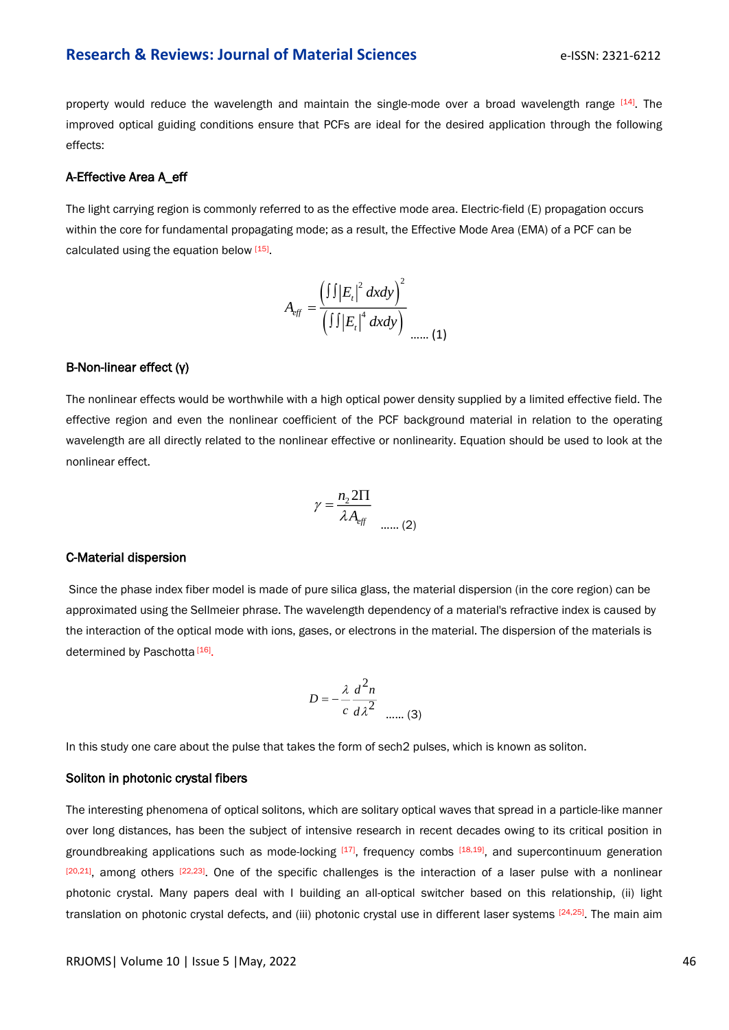property would reduce the wavelength and maintain the single-mode over a broad wavelength range [14]. The improved optical guiding conditions ensure that PCFs are ideal for the desired application through the following effects:

#### A-Effective Area A\_eff

The light carrying region is commonly referred to as the effective mode area. Electric-field (E) propagation occurs within the core for fundamental propagating mode; as a result, the Effective Mode Area (EMA) of a PCF can be calculated using the equation below [15].

$$
A_{\text{eff}} = \frac{\left(\int \int |E_t|^2 \, dxdy\right)^2}{\left(\int \int |E_t|^4 \, dxdy\right)} \quad \dots \quad (1)
$$

#### B-Non-linear effect (γ)

The nonlinear effects would be worthwhile with a high optical power density supplied by a limited effective field. The effective region and even the nonlinear coefficient of the PCF background material in relation to the operating wavelength are all directly related to the nonlinear effective or nonlinearity. Equation should be used to look at the nonlinear effect.

$$
\gamma = \frac{n_2 2\Pi}{\lambda A_{\text{eff}}}
$$
 ...... (2)

#### C-Material dispersion

Since the phase index fiber model is made of pure silica glass, the material dispersion (in the core region) can be approximated using the Sellmeier phrase. The wavelength dependency of a material's refractive index is caused by the interaction of the optical mode with ions, gases, or electrons in the material. The dispersion of the materials is determined by Paschotta<sup>[16]</sup>.

$$
D = -\frac{\lambda}{c} \frac{d^2 n}{d\lambda^2}
$$
 ...... (3)

In this study one care about the pulse that takes the form of sech2 pulses, which is known as soliton.

#### Soliton in photonic crystal fibers

The interesting phenomena of optical solitons, which are solitary optical waves that spread in a particle-like manner over long distances, has been the subject of intensive research in recent decades owing to its critical position in groundbreaking applications such as mode-locking [17], frequency combs [18,19], and supercontinuum generation  $[20,21]$ , among others  $[22,23]$ . One of the specific challenges is the interaction of a laser pulse with a nonlinear photonic crystal. Many papers deal with I building an all-optical switcher based on this relationship, (ii) light translation on photonic crystal defects, and (iii) photonic crystal use in different laser systems [24,25]. The main aim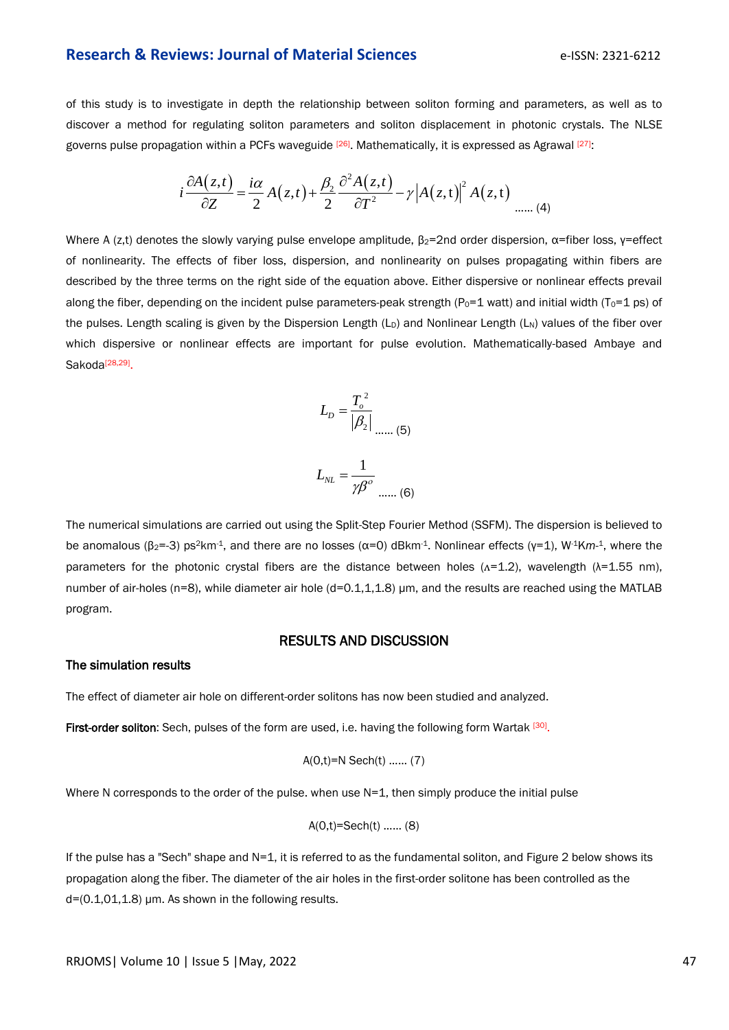of this study is to investigate in depth the relationship between soliton forming and parameters, as well as to discover a method for regulating soliton parameters and soliton displacement in photonic crystals. The NLSE governs pulse propagation within a PCFs waveguide <sup>[26]</sup>. Mathematically, it is expressed as Agrawal <sup>[27]</sup>:

$$
i\frac{\partial A(z,t)}{\partial Z} = \frac{i\alpha}{2}A(z,t) + \frac{\beta_2}{2}\frac{\partial^2 A(z,t)}{\partial T^2} - \gamma \left|A(z,t)\right|^2 A(z,t) \quad \dots (4)
$$

Where A (z,t) denotes the slowly varying pulse envelope amplitude,  $\beta_2$ =2nd order dispersion,  $\alpha$ =fiber loss, y=effect of nonlinearity. The effects of fiber loss, dispersion, and nonlinearity on pulses propagating within fibers are described by the three terms on the right side of the equation above. Either dispersive or nonlinear effects prevail along the fiber, depending on the incident pulse parameters-peak strength ( $P_0=1$  watt) and initial width ( $T_0=1$  ps) of the pulses. Length scaling is given by the Dispersion Length  $(L_D)$  and Nonlinear Length  $(L_N)$  values of the fiber over which dispersive or nonlinear effects are important for pulse evolution. Mathematically-based Ambaye and Sakoda<sup>[28,29]</sup>.



The numerical simulations are carried out using the Split-Step Fourier Method (SSFM). The dispersion is believed to be anomalous (β2=-3) ps2km-1, and there are no losses (α=0) dBkm-1. Nonlinear effects (γ=1), W-1K*m*-<sup>1</sup>, where the parameters for the photonic crystal fibers are the distance between holes ( $\Lambda$ =1.2), wavelength ( $\lambda$ =1.55 nm), number of air-holes (n=8), while diameter air hole (d=0.1,1,1.8) μm, and the results are reached using the MATLAB program.

# RESULTS AND DISCUSSION

#### The simulation results

The effect of diameter air hole on different-order solitons has now been studied and analyzed.

First-order soliton: Sech, pulses of the form are used, i.e. having the following form Wartak [30].

$$
A(0,t)=N
$$
 Sech(t) ... (7)

Where N corresponds to the order of the pulse. when use N=1, then simply produce the initial pulse

$$
A(0,t)=\text{Sech}(t) \dots \dots (8)
$$

If the pulse has a "Sech" shape and N=1, it is referred to as the fundamental soliton, and Figure 2 below shows its propagation along the fiber. The diameter of the air holes in the first-order solitone has been controlled as the  $d=(0.1,01,1.8)$  µm. As shown in the following results.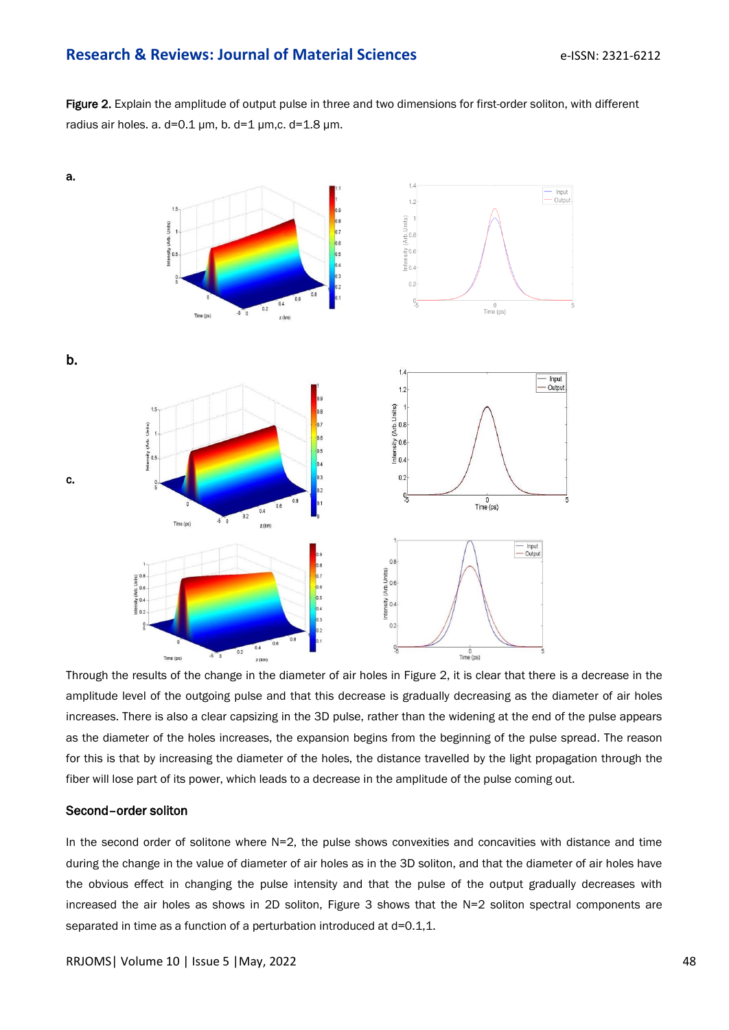Figure 2. Explain the amplitude of output pulse in three and two dimensions for first-order soliton, with different radius air holes. a.  $d=0.1 \mu m$ , b.  $d=1 \mu m$ , c.  $d=1.8 \mu m$ .



Through the results of the change in the diameter of air holes in Figure 2, it is clear that there is a decrease in the amplitude level of the outgoing pulse and that this decrease is gradually decreasing as the diameter of air holes increases. There is also a clear capsizing in the 3D pulse, rather than the widening at the end of the pulse appears as the diameter of the holes increases, the expansion begins from the beginning of the pulse spread. The reason for this is that by increasing the diameter of the holes, the distance travelled by the light propagation through the fiber will lose part of its power, which leads to a decrease in the amplitude of the pulse coming out.

#### Second–order soliton

In the second order of solitone where N=2, the pulse shows convexities and concavities with distance and time during the change in the value of diameter of air holes as in the 3D soliton, and that the diameter of air holes have the obvious effect in changing the pulse intensity and that the pulse of the output gradually decreases with increased the air holes as shows in 2D soliton, Figure 3 shows that the N=2 soliton spectral components are separated in time as a function of a perturbation introduced at d=0.1,1.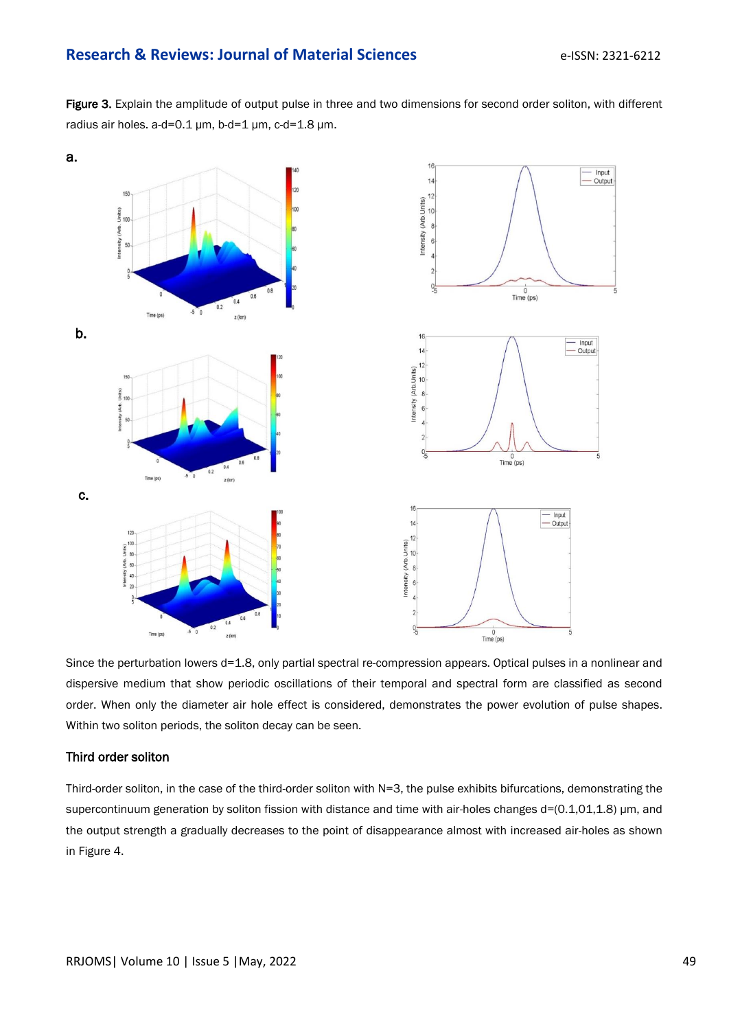Figure 3. Explain the amplitude of output pulse in three and two dimensions for second order soliton, with different radius air holes. a-d=0.1 μm, b-d=1 μm, c-d=1.8 μm.



Since the perturbation lowers d=1.8, only partial spectral re-compression appears. Optical pulses in a nonlinear and dispersive medium that show periodic oscillations of their temporal and spectral form are classified as second order. When only the diameter air hole effect is considered, demonstrates the power evolution of pulse shapes. Within two soliton periods, the soliton decay can be seen.

# Third order soliton

Third-order soliton, in the case of the third-order soliton with N=3, the pulse exhibits bifurcations, demonstrating the supercontinuum generation by soliton fission with distance and time with air-holes changes d=(0.1,01,1.8) μm, and the output strength a gradually decreases to the point of disappearance almost with increased air-holes as shown in Figure 4.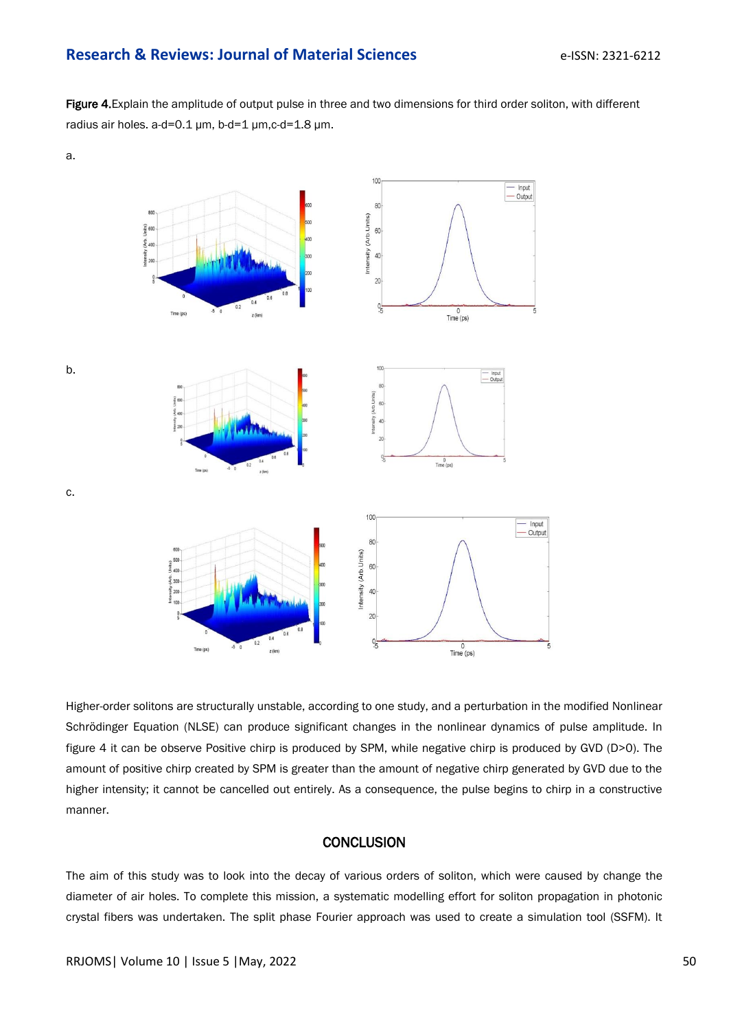Figure 4. Explain the amplitude of output pulse in three and two dimensions for third order soliton, with different radius air holes. a-d=0.1 μm, b-d=1 μm,c-d=1.8 μm.



Higher-order solitons are structurally unstable, according to one study, and a perturbation in the modified Nonlinear Schrödinger Equation (NLSE) can produce significant changes in the nonlinear dynamics of pulse amplitude. In figure 4 it can be observe Positive chirp is produced by SPM, while negative chirp is produced by GVD (D>0). The amount of positive chirp created by SPM is greater than the amount of negative chirp generated by GVD due to the higher intensity; it cannot be cancelled out entirely. As a consequence, the pulse begins to chirp in a constructive manner.

### **CONCLUSION**

The aim of this study was to look into the decay of various orders of soliton, which were caused by change the diameter of air holes. To complete this mission, a systematic modelling effort for soliton propagation in photonic crystal fibers was undertaken. The split phase Fourier approach was used to create a simulation tool (SSFM). It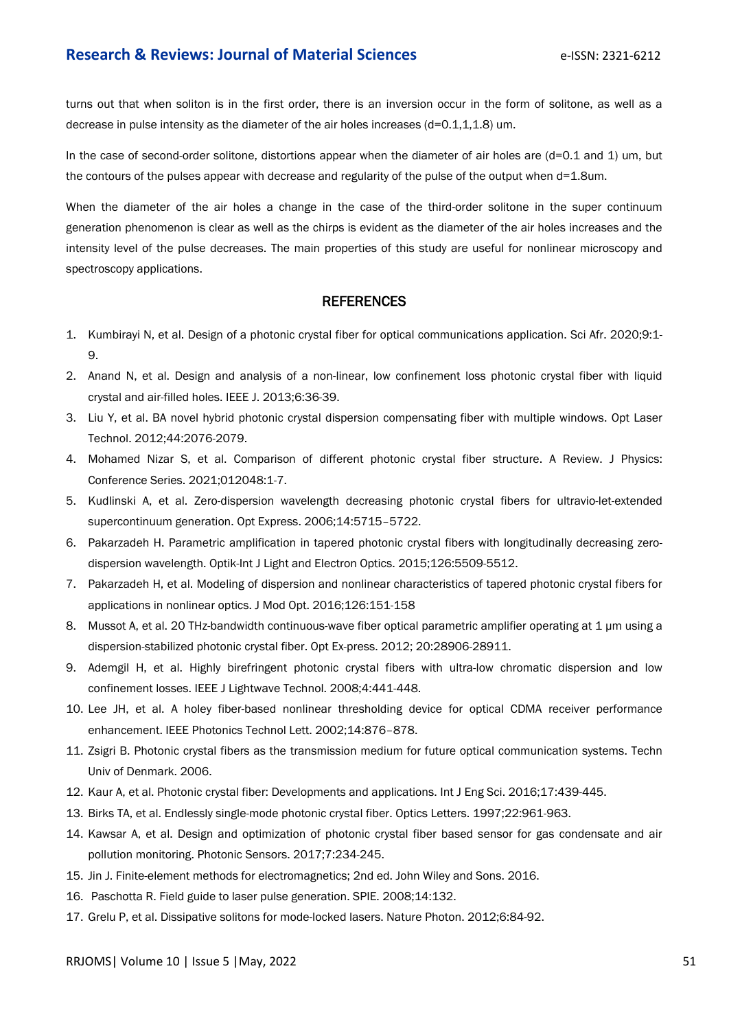turns out that when soliton is in the first order, there is an inversion occur in the form of solitone, as well as a decrease in pulse intensity as the diameter of the air holes increases (d=0.1,1,1.8) um.

In the case of second-order solitone, distortions appear when the diameter of air holes are (d=0.1 and 1) um, but the contours of the pulses appear with decrease and regularity of the pulse of the output when d=1.8um.

When the diameter of the air holes a change in the case of the third-order solitone in the super continuum generation phenomenon is clear as well as the chirps is evident as the diameter of the air holes increases and the intensity level of the pulse decreases. The main properties of this study are useful for nonlinear microscopy and spectroscopy applications.

## **REFERENCES**

- 1. Kumbirayi N, et al. Design of a photonic crystal fiber for optical communications application. Sci Afr. 2020;9:1- 9.
- 2. Anand N, et al. [Design and analysis of a non-linear, low confinement loss photonic crystal fiber with liquid](https://ieeexplore.ieee.org/abstract/document/6648823)  [crystal and air-filled holes.](https://ieeexplore.ieee.org/abstract/document/6648823) IEEE J. 2013;6:36-39.
- 3. Liu Y, et al. [BA novel hybrid photonic crystal dispersion compensating fiber with multiple windows.](https://www.sciencedirect.com/science/article/abs/pii/S0030399212001338) Opt Laser Technol. 2012;44:2076-2079.
- 4. Mohamed Nizar S, et al. [Comparison of different photonic crystal fiber structure. A Review.](https://iopscience.iop.org/article/10.1088/1742-6596/1717/1/012048/meta) J Physics: Conference Series. 2021;012048:1-7.
- 5. Kudlinski A, et al. Zero-dispersion wavelength decreasing photonic crystal fibers for ultravio-let-extended supercontinuum generation. Opt Express. 2006;14:5715–5722.
- 6. Pakarzadeh H. Parametric amplification in tapered photonic crystal fibers with longitudinally decreasing zero[dispersion wavelength.](https://www.sciencedirect.com/science/article/abs/pii/S0030402615011018) Optik-Int J Light and Electron Optics. 2015;126:5509-5512.
- 7. Pakarzadeh H, et al. [Modeling of dispersion and nonlinear characteristics of tapered photonic crystal fibers for](https://www.tandfonline.com/doi/abs/10.1080/09500340.2015.1071886)  applications in nonlinear optics. J Mod Opt. 2016;126:151-158
- 8. Mussot A, et al. 20 THz-bandwidth continuous-wave fiber optical parametric amplifier operating at 1 μm using a dispersion-stabilized photonic crystal fiber. Opt Ex-press. 2012; 20:28906-28911.
- 9. Ademgil H, et al. Highly birefringent photonic crystal fibers with ultra-low chromatic dispersion and low confinement losses. IEEE J Lightwave Technol. 2008;4:441-448.
- 10. Lee JH, et al. [A holey fiber-based nonlinear thresholding device for optical](https://ieeexplore.ieee.org/abstract/document/1003123) CDMA receiver performance [enhancement.](https://ieeexplore.ieee.org/abstract/document/1003123) IEEE Photonics Technol Lett. 2002;14:876–878.
- 11. Zsigri B. Photonic crystal fibers as the transmission medium for future optical communication systems. Techn Univ of Denmark. 2006.
- 12. Kaur A, et al. Photonic crystal fiber: Developments and applications. Int J Eng Sci. 2016;17:439-445.
- 13. Birks TA, et al. Endlessly single-mode photonic crystal fiber. Optics Letters. 1997;22:961-963.
- 14. Kawsar A, et al. [Design and optimization of photonic crystal fiber based sensor for gas condensate and air](https://link.springer.com/article/10.1007/s13320-017-0404-6)  [pollution monitoring.](https://link.springer.com/article/10.1007/s13320-017-0404-6) Photonic Sensors. 2017;7:234-245.
- 15. Jin J. Finite-element methods for electromagnetics; 2nd ed. John Wiley and Sons. 2016.
- 16. Paschotta R. Field guide to laser pulse generation. SPIE. 2008;14:132.
- 17. Grelu P, et al. Dissipative solitons for mode-locked lasers. Nature Photon. 2012;6:84-92.